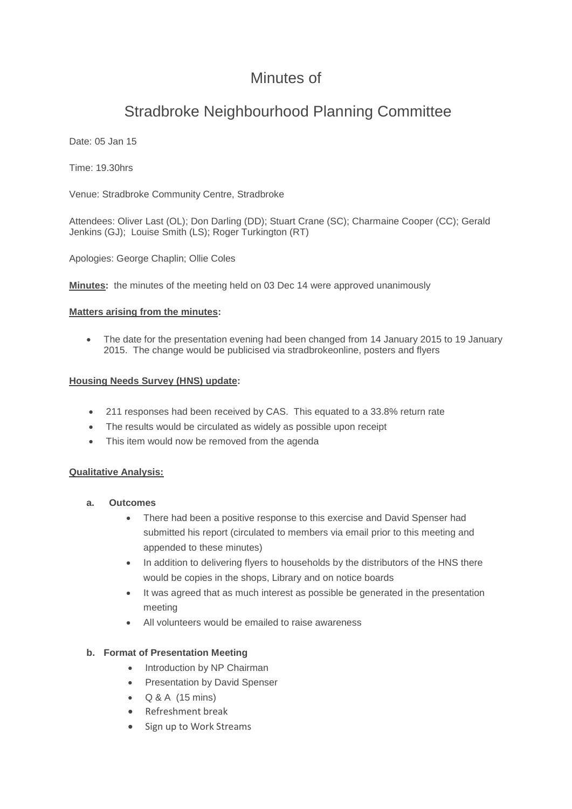# Minutes of

# Stradbroke Neighbourhood Planning Committee

Date: 05 Jan 15

Time: 19.30hrs

Venue: Stradbroke Community Centre, Stradbroke

Attendees: Oliver Last (OL); Don Darling (DD); Stuart Crane (SC); Charmaine Cooper (CC); Gerald Jenkins (GJ); Louise Smith (LS); Roger Turkington (RT)

Apologies: George Chaplin; Ollie Coles

**Minutes:** the minutes of the meeting held on 03 Dec 14 were approved unanimously

#### **Matters arising from the minutes:**

 The date for the presentation evening had been changed from 14 January 2015 to 19 January 2015. The change would be publicised via stradbrokeonline, posters and flyers

## **Housing Needs Survey (HNS) update:**

- 211 responses had been received by CAS. This equated to a 33.8% return rate
- The results would be circulated as widely as possible upon receipt
- This item would now be removed from the agenda

#### **Qualitative Analysis:**

- **a. Outcomes**
	- There had been a positive response to this exercise and David Spenser had submitted his report (circulated to members via email prior to this meeting and appended to these minutes)
	- In addition to delivering flyers to households by the distributors of the HNS there would be copies in the shops, Library and on notice boards
	- It was agreed that as much interest as possible be generated in the presentation meeting
	- All volunteers would be emailed to raise awareness

#### **b. Format of Presentation Meeting**

- Introduction by NP Chairman
- Presentation by David Spenser
- $\bullet$  Q & A (15 mins)
- Refreshment break
- Sign up to Work Streams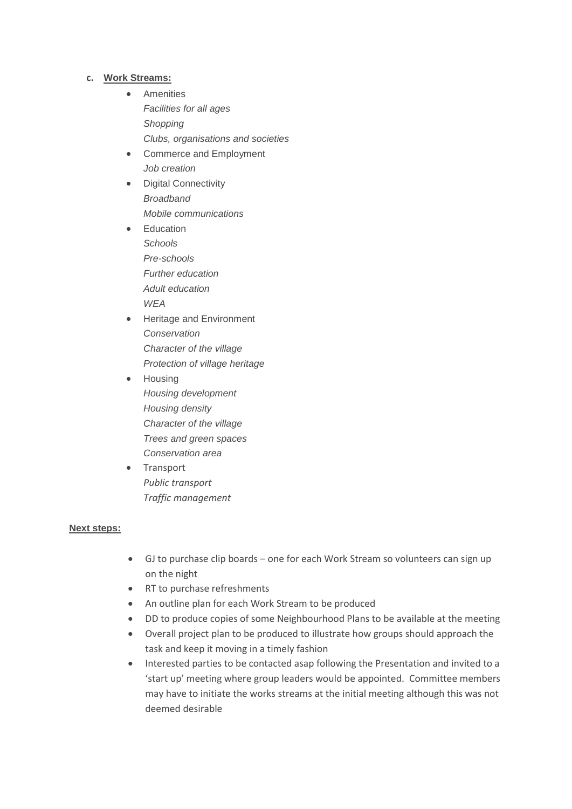#### **c. Work Streams:**

- **•** Amenities *Facilities for all ages Shopping Clubs, organisations and societies*
- Commerce and Employment *Job creation*
- Digital Connectivity *Broadband Mobile communications*
- Education *Schools Pre-schools Further education Adult education WEA*
- **•** Heritage and Environment *Conservation Character of the village Protection of village heritage*
- Housing *Housing development Housing density Character of the village Trees and green spaces Conservation area*
- Transport *Public transport Traffic management*

#### **Next steps:**

- GJ to purchase clip boards one for each Work Stream so volunteers can sign up on the night
- RT to purchase refreshments
- An outline plan for each Work Stream to be produced
- DD to produce copies of some Neighbourhood Plans to be available at the meeting
- Overall project plan to be produced to illustrate how groups should approach the task and keep it moving in a timely fashion
- Interested parties to be contacted asap following the Presentation and invited to a 'start up' meeting where group leaders would be appointed. Committee members may have to initiate the works streams at the initial meeting although this was not deemed desirable